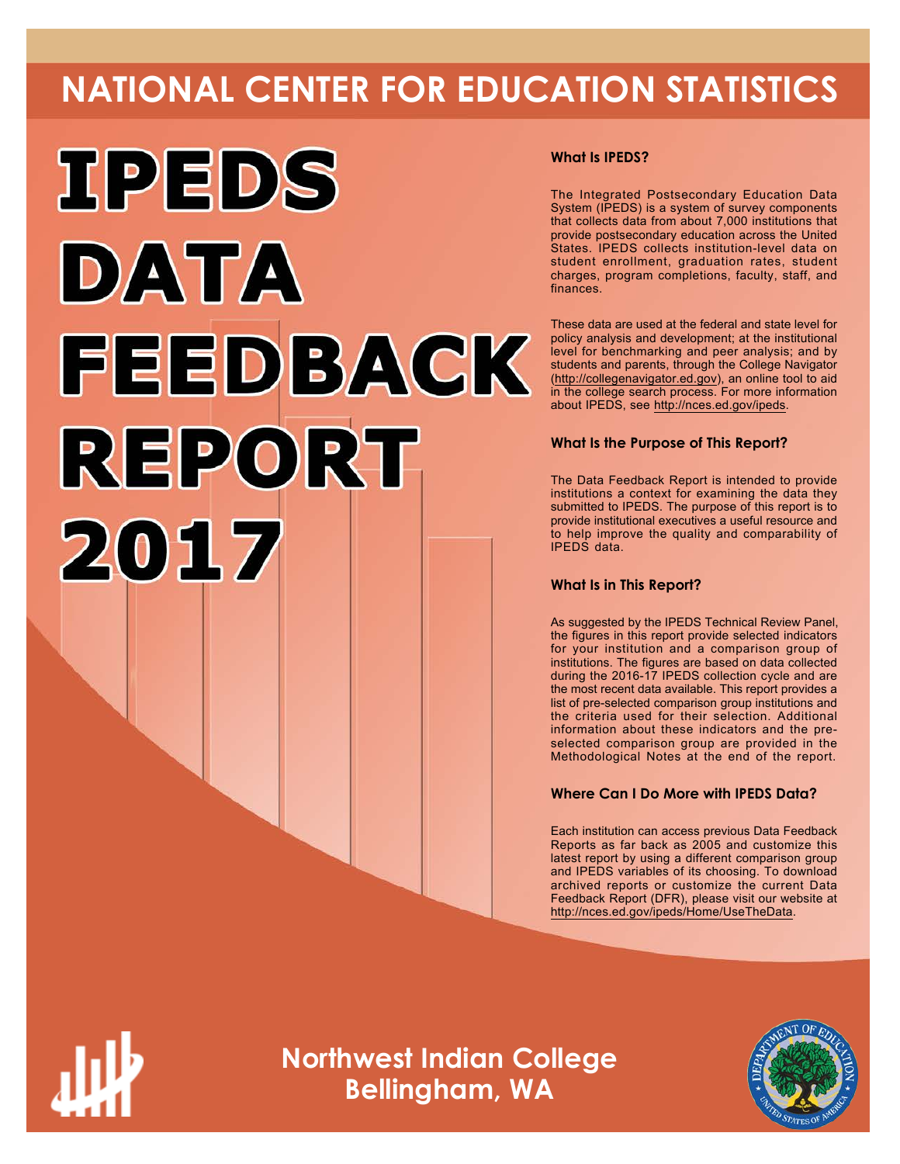# **NATIONAL CENTER FOR EDUCATION STATISTICS**



## **What Is IPEDS?**

The Integrated Postsecondary Education Data System (IPEDS) is a system of survey components that collects data from about 7,000 institutions that provide postsecondary education across the United States. IPEDS collects institution-level data on student enrollment, graduation rates, student charges, program completions, faculty, staff, and finances.

These data are used at the federal and state level for policy analysis and development; at the institutional level for benchmarking and peer analysis; and by students and parents, through the College Navigator ([http://collegenavigator.ed.gov\)](http://collegenavigator.ed.gov), an online tool to aid in the college search process. For more information about IPEDS, see [http://nces.ed.gov/ipeds.](http://nces.ed.gov/ipeds)

## **What Is the Purpose of This Report?**

The Data Feedback Report is intended to provide institutions a context for examining the data they submitted to IPEDS. The purpose of this report is to provide institutional executives a useful resource and to help improve the quality and comparability of IPEDS data.

## **What Is in This Report?**

As suggested by the IPEDS Technical Review Panel, the figures in this report provide selected indicators for your institution and a comparison group of institutions. The figures are based on data collected during the 2016-17 IPEDS collection cycle and are the most recent data available. This report provides a list of pre-selected comparison group institutions and the criteria used for their selection. Additional information about these indicators and the preselected comparison group are provided in the Methodological Notes at the end of the report.

## **Where Can I Do More with IPEDS Data?**

Each institution can access previous Data Feedback Reports as far back as 2005 and customize this latest report by using a different comparison group and IPEDS variables of its choosing. To download archived reports or customize the current Data Feedback Report (DFR), please visit our website at <http://nces.ed.gov/ipeds/Home/UseTheData>.



**Northwest Indian College Bellingham, WA**

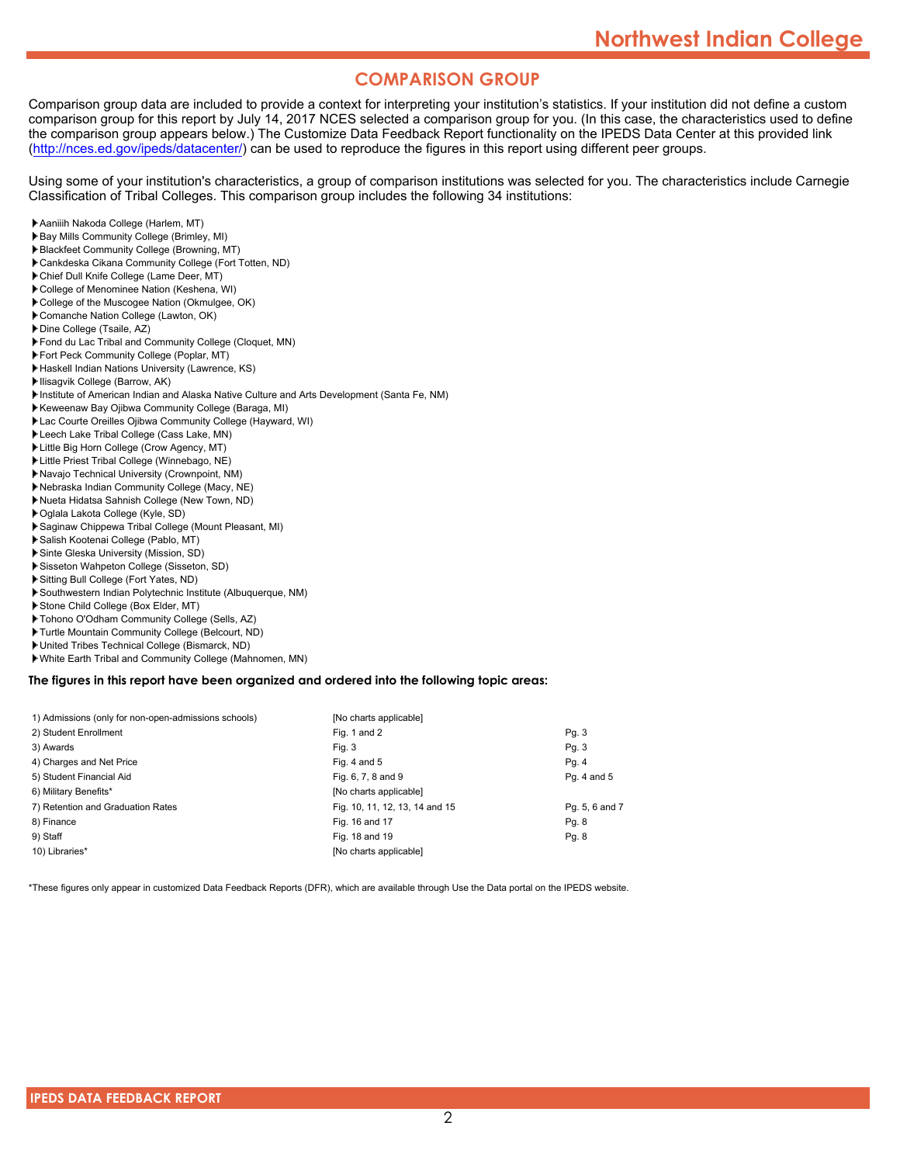## **COMPARISON GROUP**

Comparison group data are included to provide a context for interpreting your institution's statistics. If your institution did not define a custom comparison group for this report by July 14, 2017 NCES selected a comparison group for you. (In this case, the characteristics used to define the comparison group appears below.) The Customize Data Feedback Report functionality on the IPEDS Data Center at this provided link [\(http://nces.ed.gov/ipeds/datacenter/\)](http://nces.ed.gov/ipeds/datacenter/) can be used to reproduce the figures in this report using different peer groups.

Using some of your institution's characteristics, a group of comparison institutions was selected for you. The characteristics include Carnegie Classification of Tribal Colleges. This comparison group includes the following 34 institutions:

- Aaniiih Nakoda College (Harlem, MT)
- Bay Mills Community College (Brimley, MI)
- Blackfeet Community College (Browning, MT)
- Cankdeska Cikana Community College (Fort Totten, ND)
- Chief Dull Knife College (Lame Deer, MT)
- College of Menominee Nation (Keshena, WI)
- College of the Muscogee Nation (Okmulgee, OK)
- Comanche Nation College (Lawton, OK)
- Dine College (Tsaile, AZ)
- Fond du Lac Tribal and Community College (Cloquet, MN)
- Fort Peck Community College (Poplar, MT)
- Haskell Indian Nations University (Lawrence, KS)
- Ilisagvik College (Barrow, AK)
- Institute of American Indian and Alaska Native Culture and Arts Development (Santa Fe, NM)
- Keweenaw Bay Ojibwa Community College (Baraga, MI)
- Lac Courte Oreilles Ojibwa Community College (Hayward, WI)
- Leech Lake Tribal College (Cass Lake, MN)
- Little Big Horn College (Crow Agency, MT)
- Little Priest Tribal College (Winnebago, NE)
- Navajo Technical University (Crownpoint, NM)
- Nebraska Indian Community College (Macy, NE)
- Nueta Hidatsa Sahnish College (New Town, ND)
- Oglala Lakota College (Kyle, SD)
- Saginaw Chippewa Tribal College (Mount Pleasant, MI)
- Salish Kootenai College (Pablo, MT)
- Sinte Gleska University (Mission, SD)
- Sisseton Wahpeton College (Sisseton, SD)
- Sitting Bull College (Fort Yates, ND)
- Southwestern Indian Polytechnic Institute (Albuquerque, NM)
- Stone Child College (Box Elder, MT)
- Tohono O'Odham Community College (Sells, AZ)
- Turtle Mountain Community College (Belcourt, ND)
- United Tribes Technical College (Bismarck, ND)
- White Earth Tribal and Community College (Mahnomen, MN)

#### **The figures in this report have been organized and ordered into the following topic areas:**

| 1) Admissions (only for non-open-admissions schools) | [No charts applicable]         |                |
|------------------------------------------------------|--------------------------------|----------------|
| 2) Student Enrollment                                | Fig. 1 and 2                   | Pg.3           |
| 3) Awards                                            | Fig. 3                         | Pq. 3          |
| 4) Charges and Net Price                             | Fig. 4 and $5$                 | Pg. 4          |
| 5) Student Financial Aid                             | Fig. 6, 7, 8 and 9             | Pg. 4 and 5    |
| 6) Military Benefits*                                | [No charts applicable]         |                |
| 7) Retention and Graduation Rates                    | Fig. 10, 11, 12, 13, 14 and 15 | Pg. 5, 6 and 7 |
| 8) Finance                                           | Fig. 16 and 17                 | Pg. 8          |
| 9) Staff                                             | Fig. 18 and 19                 | Pg. 8          |
| 10) Libraries*                                       | [No charts applicable]         |                |

\*These figures only appear in customized Data Feedback Reports (DFR), which are available through Use the Data portal on the IPEDS website.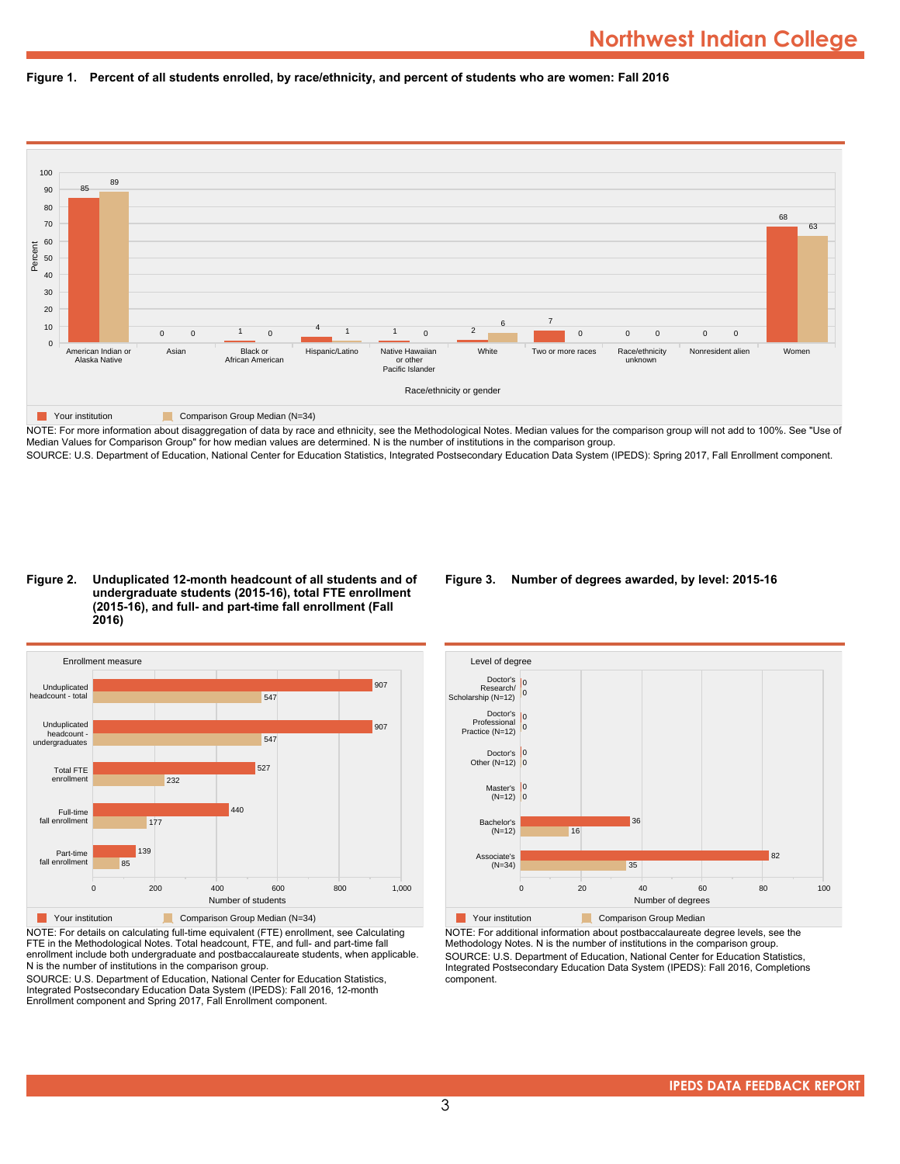



NOTE: For more information about disaggregation of data by race and ethnicity, see the Methodological Notes. Median values for the comparison group will not add to 100%. See "Use of Median Values for Comparison Group" for how median values are determined. N is the number of institutions in the comparison group. SOURCE: U.S. Department of Education, National Center for Education Statistics, Integrated Postsecondary Education Data System (IPEDS): Spring 2017, Fall Enrollment component.

#### **Figure 2. Unduplicated 12-month headcount of all students and of undergraduate students (2015-16), total FTE enrollment (2015-16), and full- and part-time fall enrollment (Fall 2016)**



NOTE: For details on calculating full-time equivalent (FTE) enrollment, see Calculating FTE in the Methodological Notes. Total headcount, FTE, and full- and part-time fall enrollment include both undergraduate and postbaccalaureate students, when applicable. N is the number of institutions in the comparison group.

SOURCE: U.S. Department of Education, National Center for Education Statistics, Integrated Postsecondary Education Data System (IPEDS): Fall 2016, 12-month Enrollment component and Spring 2017, Fall Enrollment component.

## **Figure 3. Number of degrees awarded, by level: 2015-16**



NOTE: For additional information about postbaccalaureate degree levels, see the Methodology Notes. N is the number of institutions in the comparison group. SOURCE: U.S. Department of Education, National Center for Education Statistics, Integrated Postsecondary Education Data System (IPEDS): Fall 2016, Completions component.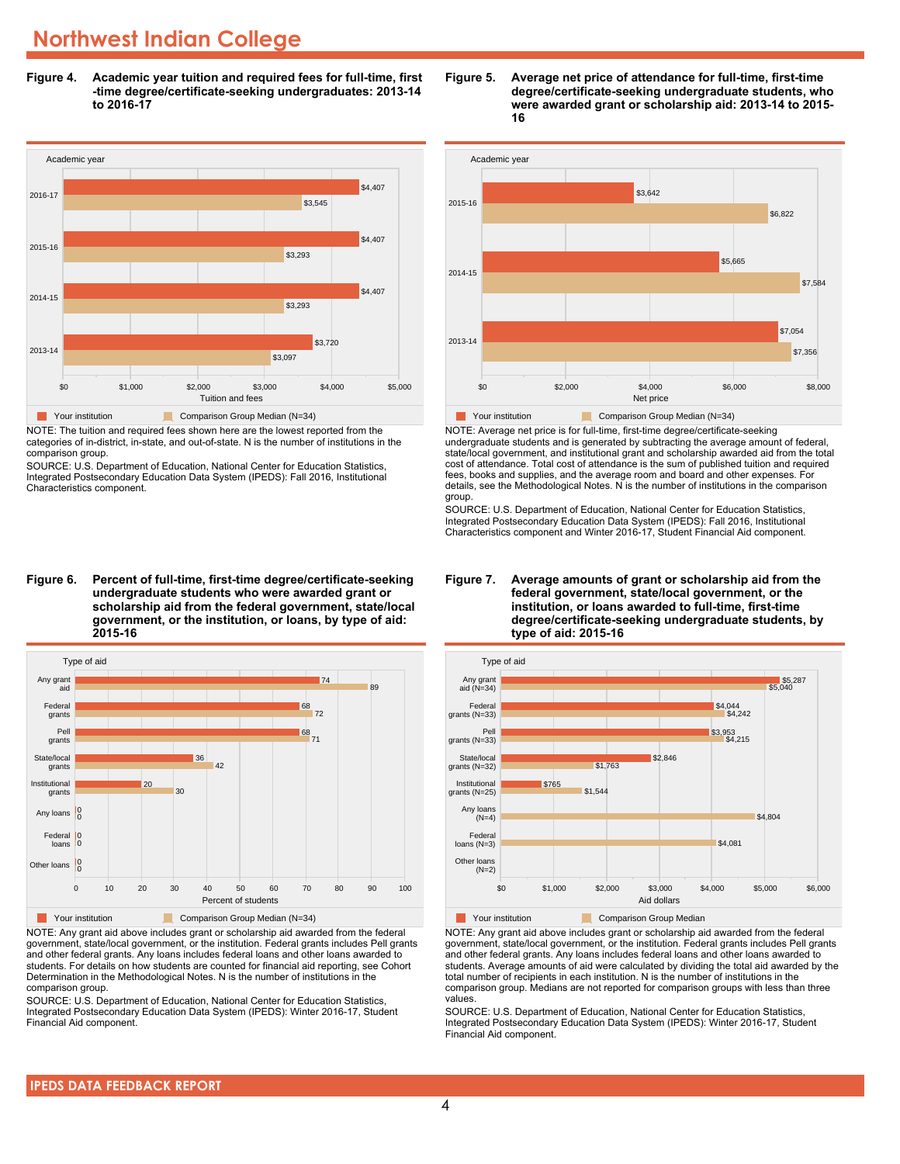## **Northwest Indian College**

**Figure 4. Academic year tuition and required fees for full-time, first -time degree/certificate-seeking undergraduates: 2013-14 to 2016-17**



NOTE: The tuition and required fees shown here are the lowest reported from the categories of in-district, in-state, and out-of-state. N is the number of institutions in the comparison group.

SOURCE: U.S. Department of Education, National Center for Education Statistics, Integrated Postsecondary Education Data System (IPEDS): Fall 2016, Institutional Characteristics component.

**Figure 6. Percent of full-time, first-time degree/certificate-seeking undergraduate students who were awarded grant or scholarship aid from the federal government, state/local government, or the institution, or loans, by type of aid: 2015-16**



NOTE: Any grant aid above includes grant or scholarship aid awarded from the federal government, state/local government, or the institution. Federal grants includes Pell grants and other federal grants. Any loans includes federal loans and other loans awarded to students. For details on how students are counted for financial aid reporting, see Cohort Determination in the Methodological Notes. N is the number of institutions in the comparison group.

SOURCE: U.S. Department of Education, National Center for Education Statistics, Integrated Postsecondary Education Data System (IPEDS): Winter 2016-17, Student Financial Aid component.





NOTE: Average net price is for full-time, first-time degree/certificate-seeking undergraduate students and is generated by subtracting the average amount of federal, state/local government, and institutional grant and scholarship awarded aid from the total cost of attendance. Total cost of attendance is the sum of published tuition and required fees, books and supplies, and the average room and board and other expenses. For details, see the Methodological Notes. N is the number of institutions in the comparison group.

SOURCE: U.S. Department of Education, National Center for Education Statistics, Integrated Postsecondary Education Data System (IPEDS): Fall 2016, Institutional Characteristics component and Winter 2016-17, Student Financial Aid component.





**The Comparison Group Median**<br> **Comparison Group Median** 

NOTE: Any grant aid above includes grant or scholarship aid awarded from the federal government, state/local government, or the institution. Federal grants includes Pell grants and other federal grants. Any loans includes federal loans and other loans awarded to students. Average amounts of aid were calculated by dividing the total aid awarded by the total number of recipients in each institution. N is the number of institutions in the comparison group. Medians are not reported for comparison groups with less than three values.

SOURCE: U.S. Department of Education, National Center for Education Statistics, Integrated Postsecondary Education Data System (IPEDS): Winter 2016-17, Student Financial Aid component.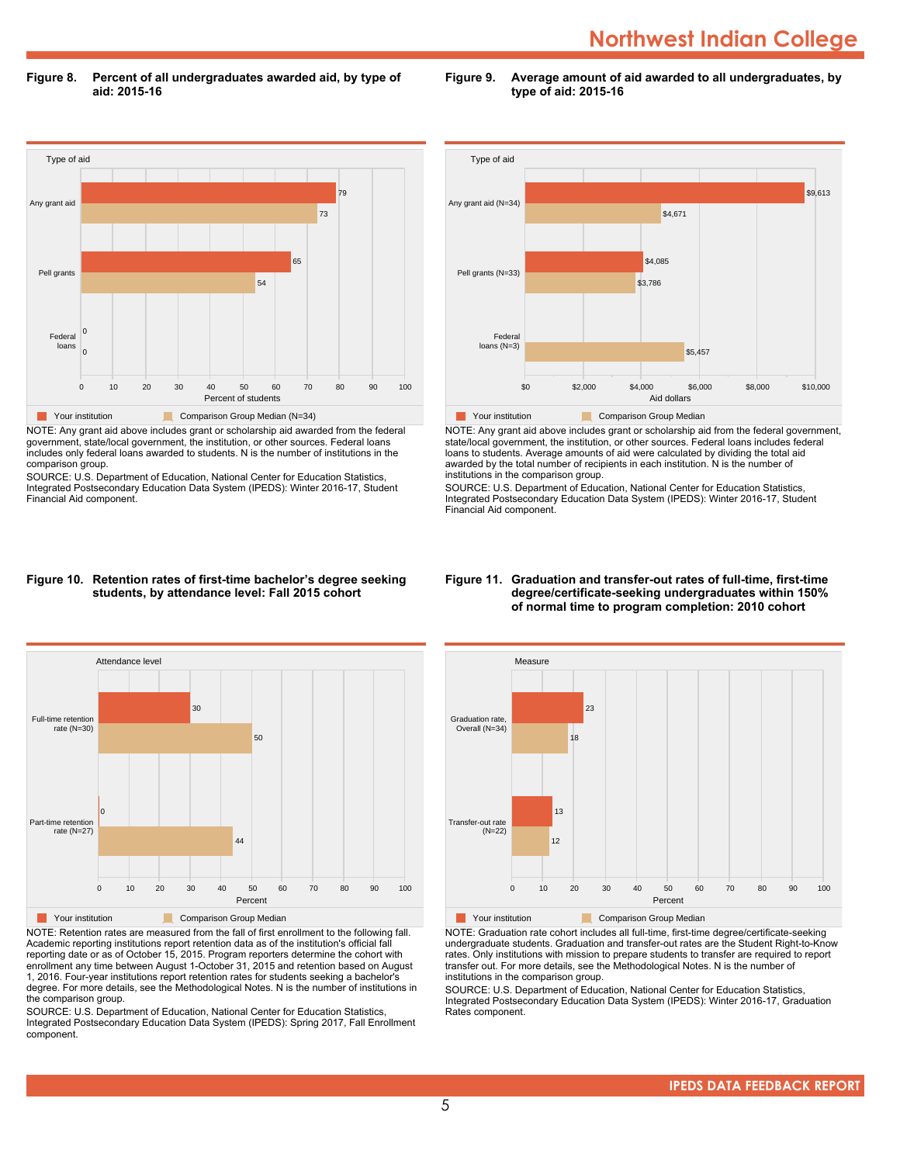## **Northwest Indian College**

**Figure 8. Percent of all undergraduates awarded aid, by type of aid: 2015-16**

Type of aid 0 10 20 30 40 50 60 70 80 90 100 Percent of students Federal loans Pell grants Any grant aid 0 0 54 65 73 79 **Comparison Group Median (N=34)** Comparison Group Median (N=34)

NOTE: Any grant aid above includes grant or scholarship aid awarded from the federal government, state/local government, the institution, or other sources. Federal loans includes only federal loans awarded to students. N is the number of institutions in the comparison group.

SOURCE: U.S. Department of Education, National Center for Education Statistics, Integrated Postsecondary Education Data System (IPEDS): Winter 2016-17, Student Financial Aid component.



**Figure 9. Average amount of aid awarded to all undergraduates, by**

**type of aid: 2015-16**

NOTE: Any grant aid above includes grant or scholarship aid from the federal government, state/local government, the institution, or other sources. Federal loans includes federal loans to students. Average amounts of aid were calculated by dividing the total aid awarded by the total number of recipients in each institution. N is the number of institutions in the comparison group.

SOURCE: U.S. Department of Education, National Center for Education Statistics, Integrated Postsecondary Education Data System (IPEDS): Winter 2016-17, Student Financial Aid component.

#### **Figure 10. Retention rates of first-time bachelor's degree seeking students, by attendance level: Fall 2015 cohort**



NOTE: Retention rates are measured from the fall of first enrollment to the following fall. Academic reporting institutions report retention data as of the institution's official fall reporting date or as of October 15, 2015. Program reporters determine the cohort with enrollment any time between August 1-October 31, 2015 and retention based on August 1, 2016. Four-year institutions report retention rates for students seeking a bachelor's degree. For more details, see the Methodological Notes. N is the number of institutions in the comparison group.

SOURCE: U.S. Department of Education, National Center for Education Statistics, Integrated Postsecondary Education Data System (IPEDS): Spring 2017, Fall Enrollment component.

#### **Figure 11. Graduation and transfer-out rates of full-time, first-time degree/certificate-seeking undergraduates within 150% of normal time to program completion: 2010 cohort**



NOTE: Graduation rate cohort includes all full-time, first-time degree/certificate-seeking undergraduate students. Graduation and transfer-out rates are the Student Right-to-Know rates. Only institutions with mission to prepare students to transfer are required to report transfer out. For more details, see the Methodological Notes. N is the number of institutions in the comparison group.

SOURCE: U.S. Department of Education, National Center for Education Statistics, Integrated Postsecondary Education Data System (IPEDS): Winter 2016-17, Graduation Rates component.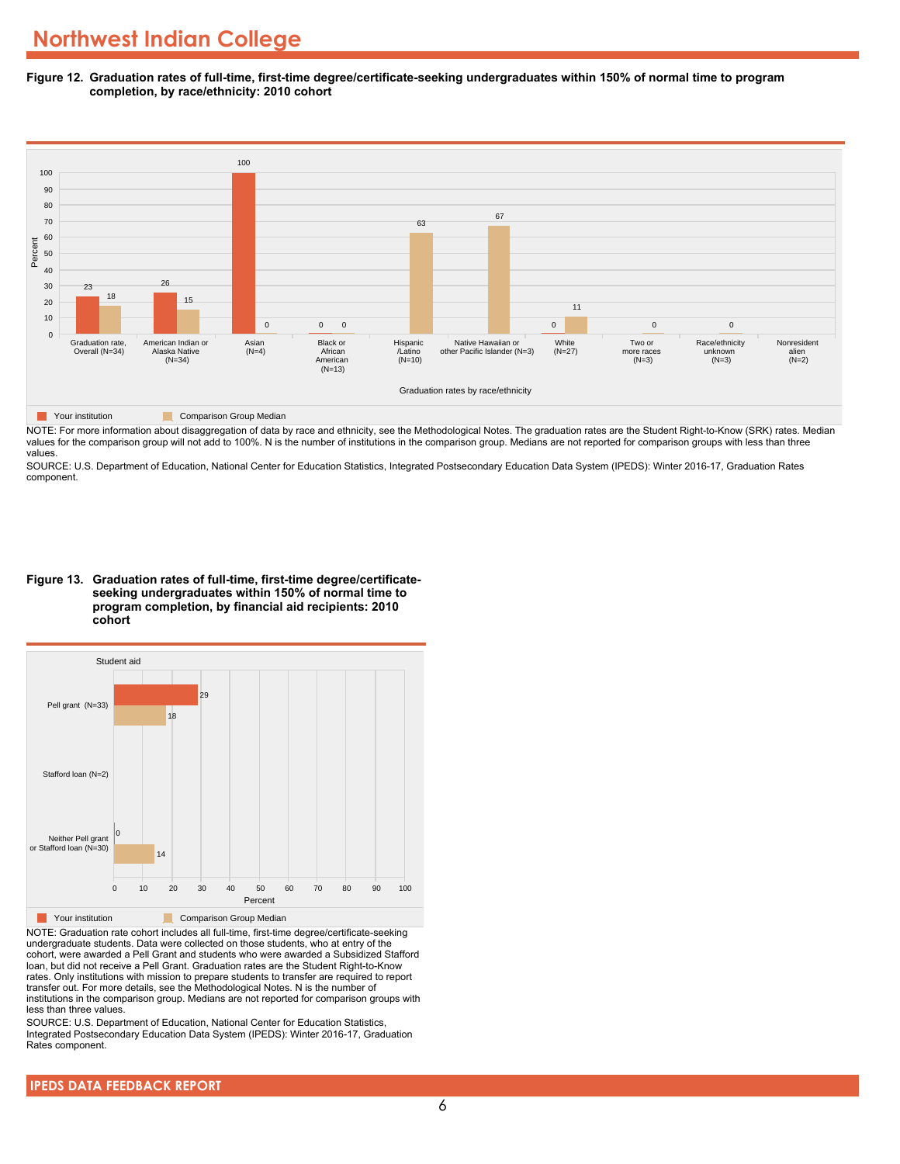**Figure 12. Graduation rates of full-time, first-time degree/certificate-seeking undergraduates within 150% of normal time to program completion, by race/ethnicity: 2010 cohort**



NOTE: For more information about disaggregation of data by race and ethnicity, see the Methodological Notes. The graduation rates are the Student Right-to-Know (SRK) rates. Median

values for the comparison group will not add to 100%. N is the number of institutions in the comparison group. Medians are not reported for comparison groups with less than three values.

SOURCE: U.S. Department of Education, National Center for Education Statistics, Integrated Postsecondary Education Data System (IPEDS): Winter 2016-17, Graduation Rates component.

**Figure 13. Graduation rates of full-time, first-time degree/certificateseeking undergraduates within 150% of normal time to program completion, by financial aid recipients: 2010 cohort**



NOTE: Graduation rate cohort includes all full-time, first-time degree/certificate-seeking undergraduate students. Data were collected on those students, who at entry of the cohort, were awarded a Pell Grant and students who were awarded a Subsidized Stafford loan, but did not receive a Pell Grant. Graduation rates are the Student Right-to-Know rates. Only institutions with mission to prepare students to transfer are required to report transfer out. For more details, see the Methodological Notes. N is the number of institutions in the comparison group. Medians are not reported for comparison groups with less than three values.

SOURCE: U.S. Department of Education, National Center for Education Statistics, Integrated Postsecondary Education Data System (IPEDS): Winter 2016-17, Graduation Rates component.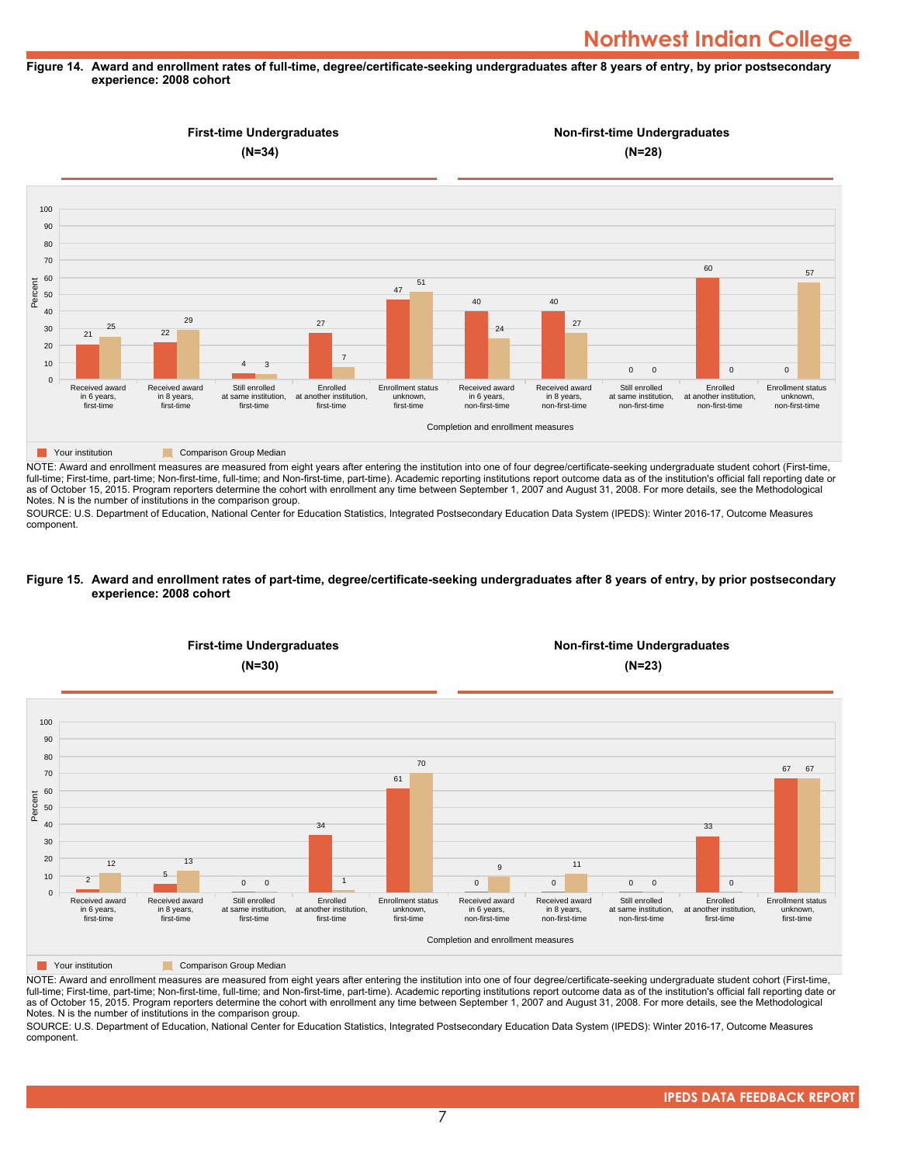## **Figure 14. Award and enrollment rates of full-time, degree/certificate-seeking undergraduates after 8 years of entry, by prior postsecondary experience: 2008 cohort**



NOTE: Award and enrollment measures are measured from eight years after entering the institution into one of four degree/certificate-seeking undergraduate student cohort (First-time, full-time; First-time, part-time; Non-first-time, full-time; and Non-first-time, part-time). Academic reporting institutions report outcome data as of the institution's official fall reporting date or as of October 15, 2015. Program reporters determine the cohort with enrollment any time between September 1, 2007 and August 31, 2008. For more details, see the Methodological Notes. N is the number of institutions in the comparison group.

SOURCE: U.S. Department of Education, National Center for Education Statistics, Integrated Postsecondary Education Data System (IPEDS): Winter 2016-17, Outcome Measures component.

### **Figure 15. Award and enrollment rates of part-time, degree/certificate-seeking undergraduates after 8 years of entry, by prior postsecondary experience: 2008 cohort**



NOTE: Award and enrollment measures are measured from eight years after entering the institution into one of four degree/certificate-seeking undergraduate student cohort (First-time, full-time; First-time, part-time; Non-first-time, full-time; and Non-first-time, part-time). Academic reporting institutions report outcome data as of the institution's official fall reporting date or as of October 15, 2015. Program reporters determine the cohort with enrollment any time between September 1, 2007 and August 31, 2008. For more details, see the Methodological Notes. N is the number of institutions in the comparison group.

SOURCE: U.S. Department of Education, National Center for Education Statistics, Integrated Postsecondary Education Data System (IPEDS): Winter 2016-17, Outcome Measures component.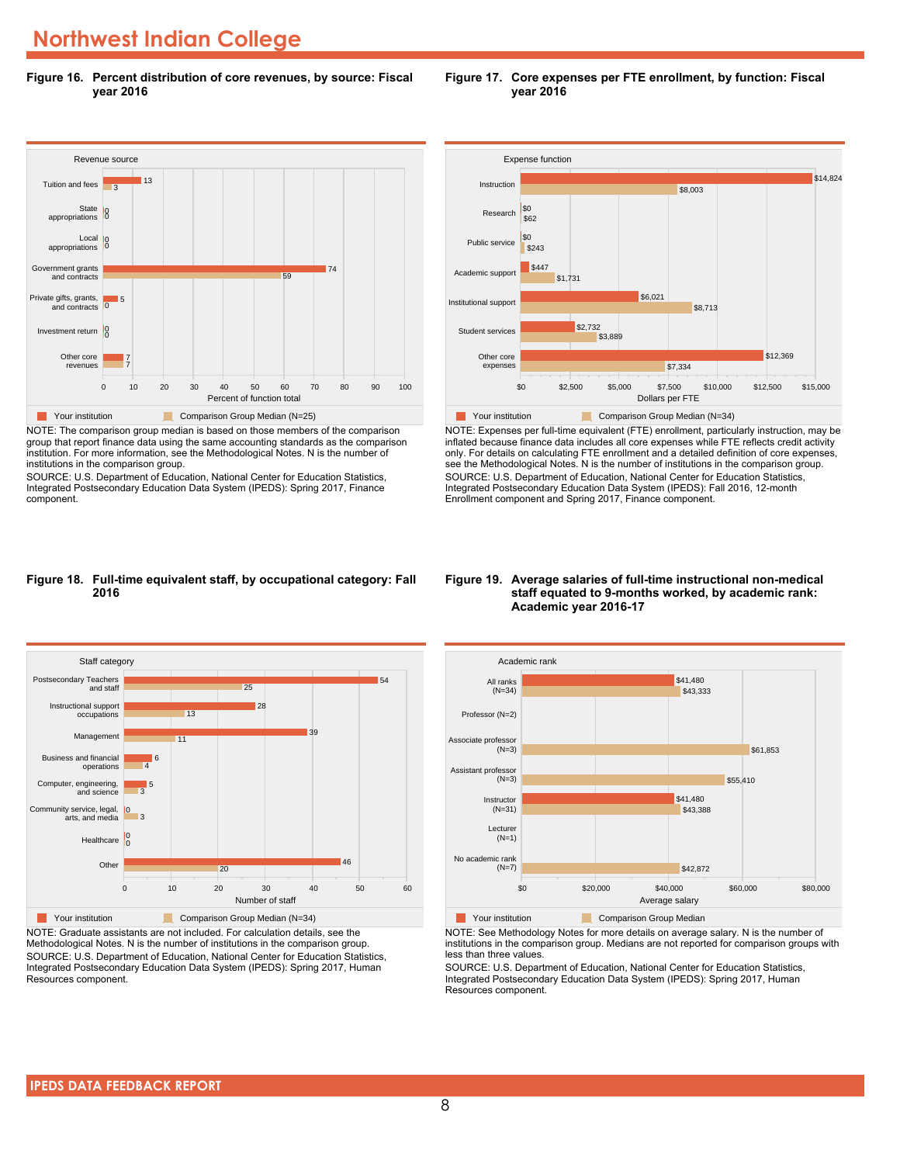**Figure 16. Percent distribution of core revenues, by source: Fiscal year 2016**



NOTE: The comparison group median is based on those members of the comparison group that report finance data using the same accounting standards as the comparison institution. For more information, see the Methodological Notes. N is the number of institutions in the comparison group.

SOURCE: U.S. Department of Education, National Center for Education Statistics, Integrated Postsecondary Education Data System (IPEDS): Spring 2017, Finance component.





NOTE: Expenses per full-time equivalent (FTE) enrollment, particularly instruction, may be inflated because finance data includes all core expenses while FTE reflects credit activity only. For details on calculating FTE enrollment and a detailed definition of core expenses, see the Methodological Notes. N is the number of institutions in the comparison group. SOURCE: U.S. Department of Education, National Center for Education Statistics, Integrated Postsecondary Education Data System (IPEDS): Fall 2016, 12-month Enrollment component and Spring 2017, Finance component.

## **Figure 18. Full-time equivalent staff, by occupational category: Fall 2016**



NOTE: Graduate assistants are not included. For calculation details, see the Methodological Notes. N is the number of institutions in the comparison group. SOURCE: U.S. Department of Education, National Center for Education Statistics, Integrated Postsecondary Education Data System (IPEDS): Spring 2017, Human Resources component.

### **Figure 19. Average salaries of full-time instructional non-medical staff equated to 9-months worked, by academic rank: Academic year 2016-17**



NOTE: See Methodology Notes for more details on average salary. N is the number of institutions in the comparison group. Medians are not reported for comparison groups with less than three values.

SOURCE: U.S. Department of Education, National Center for Education Statistics, Integrated Postsecondary Education Data System (IPEDS): Spring 2017, Human Resources component.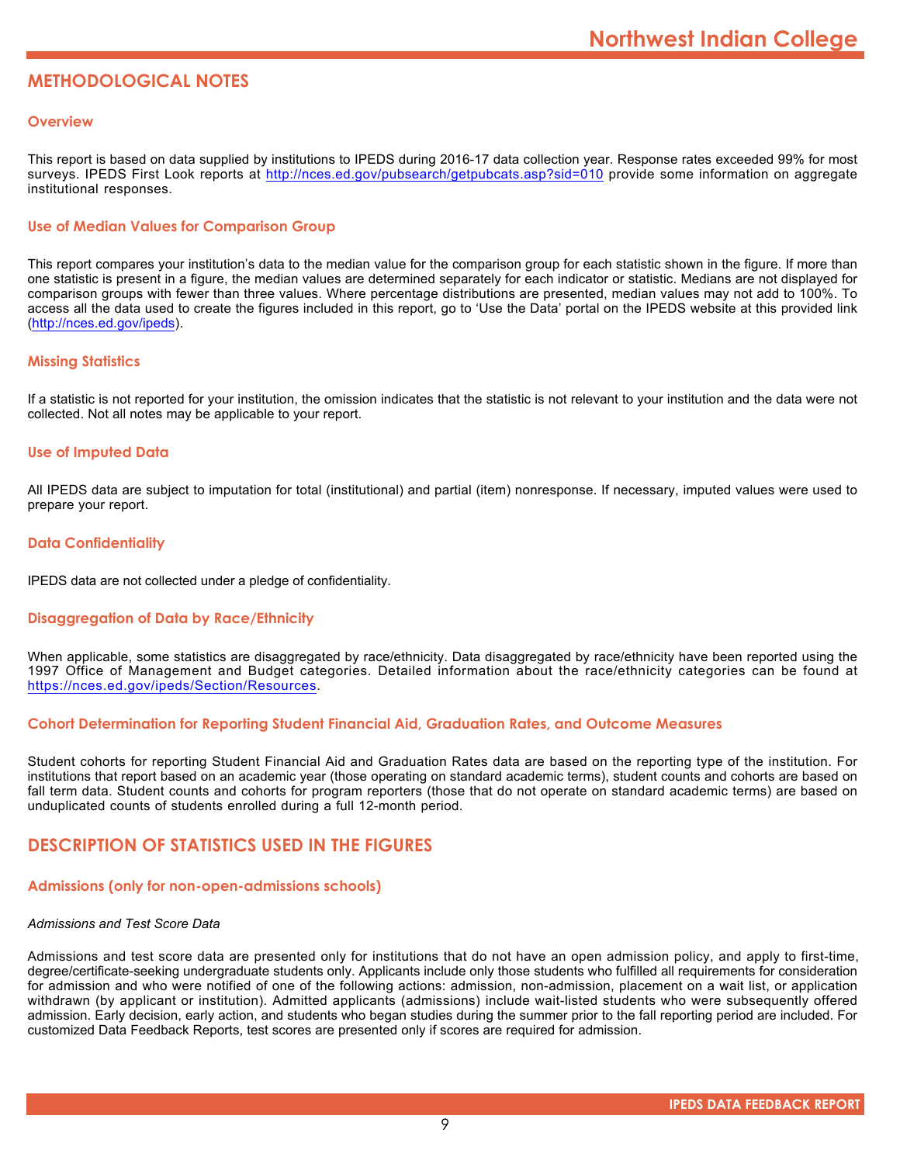## **METHODOLOGICAL NOTES**

## **Overview**

This report is based on data supplied by institutions to IPEDS during 2016-17 data collection year. Response rates exceeded 99% for most surveys. IPEDS First Look reports at <http://nces.ed.gov/pubsearch/getpubcats.asp?sid=010> provide some information on aggregate institutional responses.

## **Use of Median Values for Comparison Group**

This report compares your institution's data to the median value for the comparison group for each statistic shown in the figure. If more than one statistic is present in a figure, the median values are determined separately for each indicator or statistic. Medians are not displayed for comparison groups with fewer than three values. Where percentage distributions are presented, median values may not add to 100%. To access all the data used to create the figures included in this report, go to 'Use the Data' portal on the IPEDS website at this provided link (<http://nces.ed.gov/ipeds>).

## **Missing Statistics**

If a statistic is not reported for your institution, the omission indicates that the statistic is not relevant to your institution and the data were not collected. Not all notes may be applicable to your report.

## **Use of Imputed Data**

All IPEDS data are subject to imputation for total (institutional) and partial (item) nonresponse. If necessary, imputed values were used to prepare your report.

## **Data Confidentiality**

IPEDS data are not collected under a pledge of confidentiality.

## **Disaggregation of Data by Race/Ethnicity**

When applicable, some statistics are disaggregated by race/ethnicity. Data disaggregated by race/ethnicity have been reported using the 1997 Office of Management and Budget categories. Detailed information about the race/ethnicity categories can be found at <https://nces.ed.gov/ipeds/Section/Resources>.

## **Cohort Determination for Reporting Student Financial Aid, Graduation Rates, and Outcome Measures**

Student cohorts for reporting Student Financial Aid and Graduation Rates data are based on the reporting type of the institution. For institutions that report based on an academic year (those operating on standard academic terms), student counts and cohorts are based on fall term data. Student counts and cohorts for program reporters (those that do not operate on standard academic terms) are based on unduplicated counts of students enrolled during a full 12-month period.

## **DESCRIPTION OF STATISTICS USED IN THE FIGURES**

## **Admissions (only for non-open-admissions schools)**

## *Admissions and Test Score Data*

Admissions and test score data are presented only for institutions that do not have an open admission policy, and apply to first-time, degree/certificate-seeking undergraduate students only. Applicants include only those students who fulfilled all requirements for consideration for admission and who were notified of one of the following actions: admission, non-admission, placement on a wait list, or application withdrawn (by applicant or institution). Admitted applicants (admissions) include wait-listed students who were subsequently offered admission. Early decision, early action, and students who began studies during the summer prior to the fall reporting period are included. For customized Data Feedback Reports, test scores are presented only if scores are required for admission.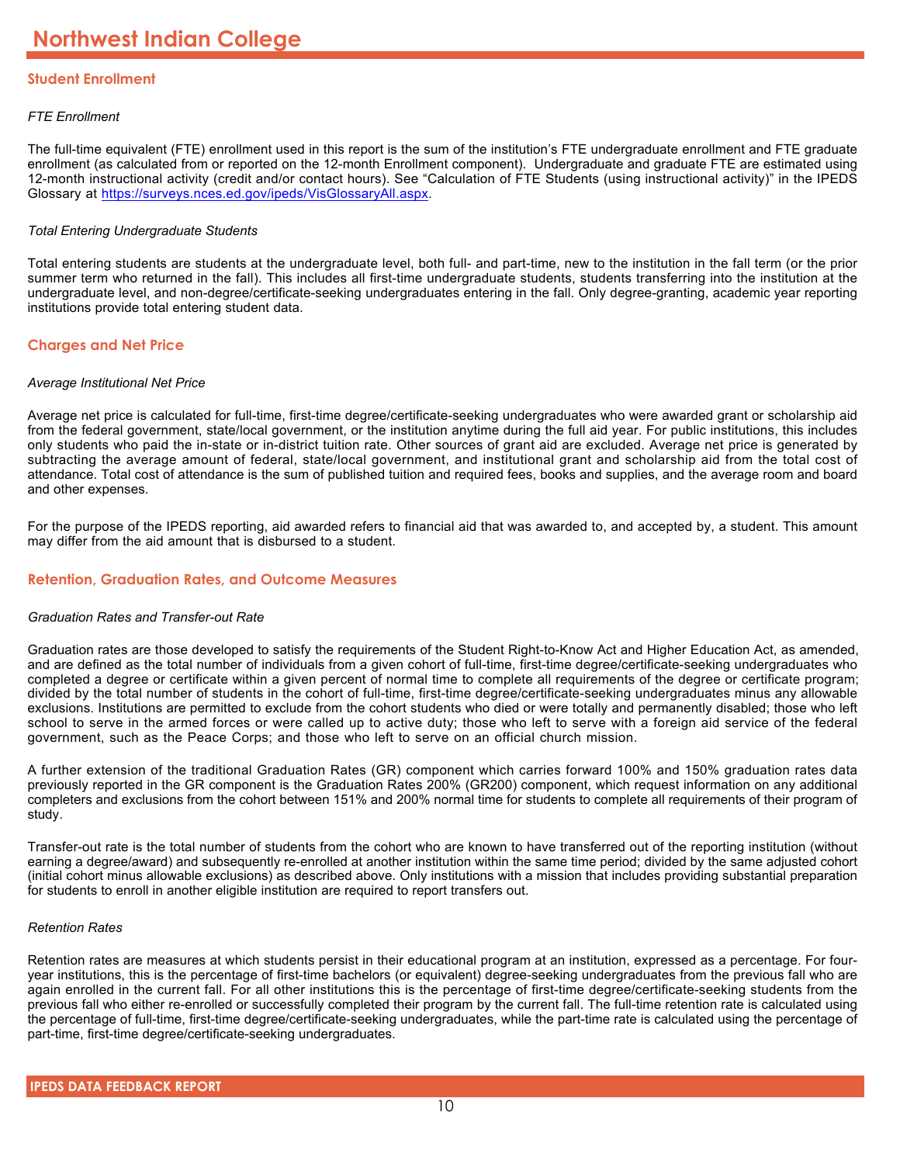## **Student Enrollment**

## *FTE Enrollment*

The full-time equivalent (FTE) enrollment used in this report is the sum of the institution's FTE undergraduate enrollment and FTE graduate enrollment (as calculated from or reported on the 12-month Enrollment component). Undergraduate and graduate FTE are estimated using 12-month instructional activity (credit and/or contact hours). See "Calculation of FTE Students (using instructional activity)" in the IPEDS Glossary at <https://surveys.nces.ed.gov/ipeds/VisGlossaryAll.aspx>.

## *Total Entering Undergraduate Students*

Total entering students are students at the undergraduate level, both full- and part-time, new to the institution in the fall term (or the prior summer term who returned in the fall). This includes all first-time undergraduate students, students transferring into the institution at the undergraduate level, and non-degree/certificate-seeking undergraduates entering in the fall. Only degree-granting, academic year reporting institutions provide total entering student data.

## **Charges and Net Price**

## *Average Institutional Net Price*

Average net price is calculated for full-time, first-time degree/certificate-seeking undergraduates who were awarded grant or scholarship aid from the federal government, state/local government, or the institution anytime during the full aid year. For public institutions, this includes only students who paid the in-state or in-district tuition rate. Other sources of grant aid are excluded. Average net price is generated by subtracting the average amount of federal, state/local government, and institutional grant and scholarship aid from the total cost of attendance. Total cost of attendance is the sum of published tuition and required fees, books and supplies, and the average room and board and other expenses.

For the purpose of the IPEDS reporting, aid awarded refers to financial aid that was awarded to, and accepted by, a student. This amount may differ from the aid amount that is disbursed to a student.

## **Retention, Graduation Rates, and Outcome Measures**

## *Graduation Rates and Transfer-out Rate*

Graduation rates are those developed to satisfy the requirements of the Student Right-to-Know Act and Higher Education Act, as amended, and are defined as the total number of individuals from a given cohort of full-time, first-time degree/certificate-seeking undergraduates who completed a degree or certificate within a given percent of normal time to complete all requirements of the degree or certificate program; divided by the total number of students in the cohort of full-time, first-time degree/certificate-seeking undergraduates minus any allowable exclusions. Institutions are permitted to exclude from the cohort students who died or were totally and permanently disabled; those who left school to serve in the armed forces or were called up to active duty; those who left to serve with a foreign aid service of the federal government, such as the Peace Corps; and those who left to serve on an official church mission.

A further extension of the traditional Graduation Rates (GR) component which carries forward 100% and 150% graduation rates data previously reported in the GR component is the Graduation Rates 200% (GR200) component, which request information on any additional completers and exclusions from the cohort between 151% and 200% normal time for students to complete all requirements of their program of study.

Transfer-out rate is the total number of students from the cohort who are known to have transferred out of the reporting institution (without earning a degree/award) and subsequently re-enrolled at another institution within the same time period; divided by the same adjusted cohort (initial cohort minus allowable exclusions) as described above. Only institutions with a mission that includes providing substantial preparation for students to enroll in another eligible institution are required to report transfers out.

## *Retention Rates*

Retention rates are measures at which students persist in their educational program at an institution, expressed as a percentage. For fouryear institutions, this is the percentage of first-time bachelors (or equivalent) degree-seeking undergraduates from the previous fall who are again enrolled in the current fall. For all other institutions this is the percentage of first-time degree/certificate-seeking students from the previous fall who either re-enrolled or successfully completed their program by the current fall. The full-time retention rate is calculated using the percentage of full-time, first-time degree/certificate-seeking undergraduates, while the part-time rate is calculated using the percentage of part-time, first-time degree/certificate-seeking undergraduates.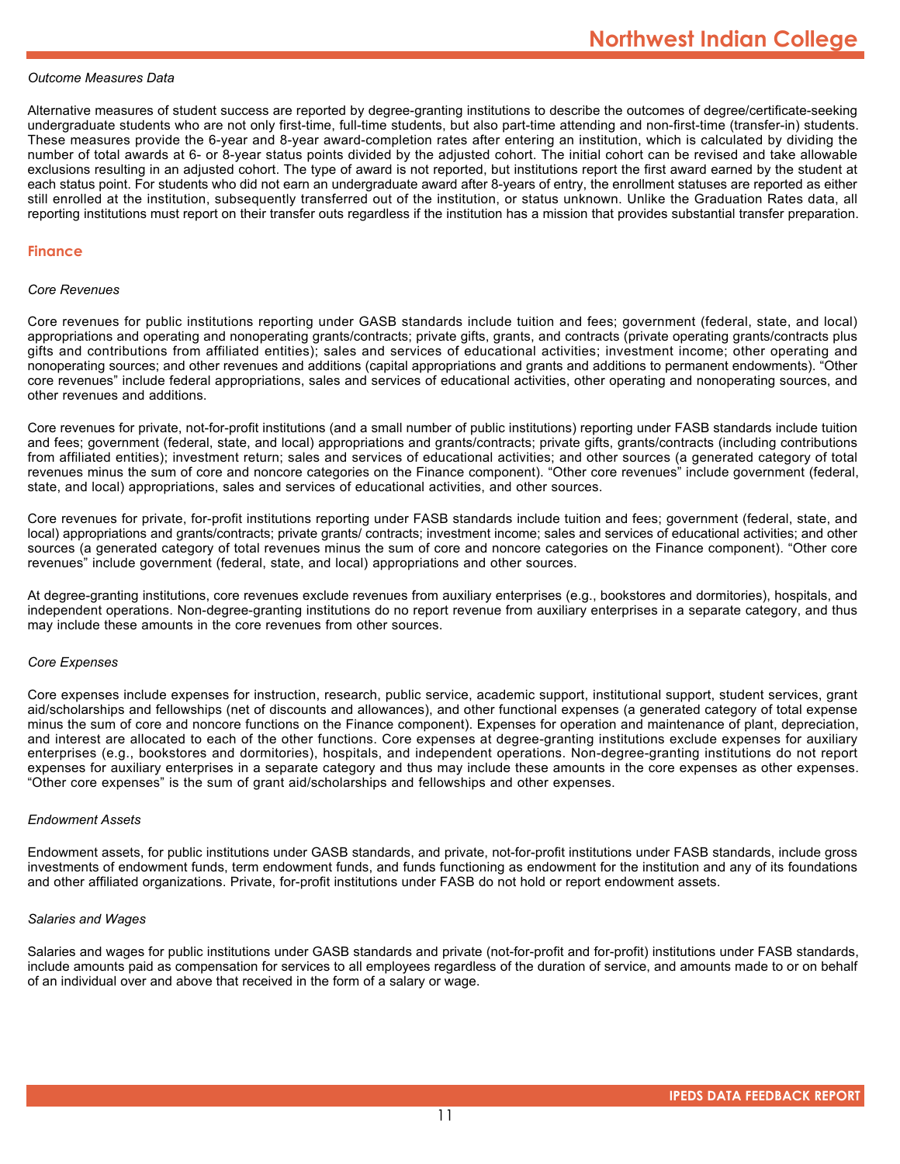## *Outcome Measures Data*

Alternative measures of student success are reported by degree-granting institutions to describe the outcomes of degree/certificate-seeking undergraduate students who are not only first-time, full-time students, but also part-time attending and non-first-time (transfer-in) students. These measures provide the 6-year and 8-year award-completion rates after entering an institution, which is calculated by dividing the number of total awards at 6- or 8-year status points divided by the adjusted cohort. The initial cohort can be revised and take allowable exclusions resulting in an adjusted cohort. The type of award is not reported, but institutions report the first award earned by the student at each status point. For students who did not earn an undergraduate award after 8-years of entry, the enrollment statuses are reported as either still enrolled at the institution, subsequently transferred out of the institution, or status unknown. Unlike the Graduation Rates data, all reporting institutions must report on their transfer outs regardless if the institution has a mission that provides substantial transfer preparation.

### **Finance**

#### *Core Revenues*

Core revenues for public institutions reporting under GASB standards include tuition and fees; government (federal, state, and local) appropriations and operating and nonoperating grants/contracts; private gifts, grants, and contracts (private operating grants/contracts plus gifts and contributions from affiliated entities); sales and services of educational activities; investment income; other operating and nonoperating sources; and other revenues and additions (capital appropriations and grants and additions to permanent endowments). "Other core revenues" include federal appropriations, sales and services of educational activities, other operating and nonoperating sources, and other revenues and additions.

Core revenues for private, not-for-profit institutions (and a small number of public institutions) reporting under FASB standards include tuition and fees; government (federal, state, and local) appropriations and grants/contracts; private gifts, grants/contracts (including contributions from affiliated entities); investment return; sales and services of educational activities; and other sources (a generated category of total revenues minus the sum of core and noncore categories on the Finance component). "Other core revenues" include government (federal, state, and local) appropriations, sales and services of educational activities, and other sources.

Core revenues for private, for-profit institutions reporting under FASB standards include tuition and fees; government (federal, state, and local) appropriations and grants/contracts; private grants/ contracts; investment income; sales and services of educational activities; and other sources (a generated category of total revenues minus the sum of core and noncore categories on the Finance component). "Other core revenues" include government (federal, state, and local) appropriations and other sources.

At degree-granting institutions, core revenues exclude revenues from auxiliary enterprises (e.g., bookstores and dormitories), hospitals, and independent operations. Non-degree-granting institutions do no report revenue from auxiliary enterprises in a separate category, and thus may include these amounts in the core revenues from other sources.

#### *Core Expenses*

Core expenses include expenses for instruction, research, public service, academic support, institutional support, student services, grant aid/scholarships and fellowships (net of discounts and allowances), and other functional expenses (a generated category of total expense minus the sum of core and noncore functions on the Finance component). Expenses for operation and maintenance of plant, depreciation, and interest are allocated to each of the other functions. Core expenses at degree-granting institutions exclude expenses for auxiliary enterprises (e.g., bookstores and dormitories), hospitals, and independent operations. Non-degree-granting institutions do not report expenses for auxiliary enterprises in a separate category and thus may include these amounts in the core expenses as other expenses. "Other core expenses" is the sum of grant aid/scholarships and fellowships and other expenses.

## *Endowment Assets*

Endowment assets, for public institutions under GASB standards, and private, not-for-profit institutions under FASB standards, include gross investments of endowment funds, term endowment funds, and funds functioning as endowment for the institution and any of its foundations and other affiliated organizations. Private, for-profit institutions under FASB do not hold or report endowment assets.

## *Salaries and Wages*

Salaries and wages for public institutions under GASB standards and private (not-for-profit and for-profit) institutions under FASB standards, include amounts paid as compensation for services to all employees regardless of the duration of service, and amounts made to or on behalf of an individual over and above that received in the form of a salary or wage.